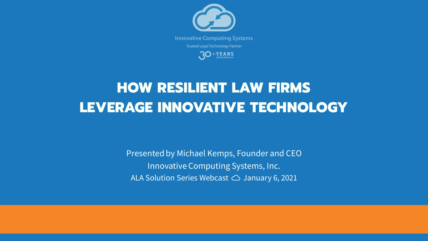Presented by Michael Kemps, Founder and CEO Innovative Computing Systems, Inc. ALA Solution Series Webcast ☁️ January 6, 2021



# HOW RESILIENT LAW FIRMS LEVERAGE INNOVATIVE TECHNOLOGY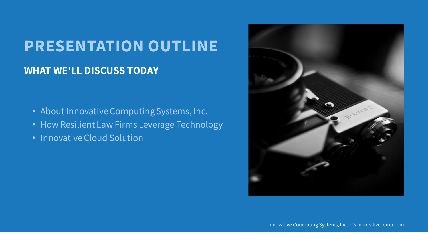# **PRESENTATION OUTLINE WHAT WE'LL DISCUSS TODAY**

- About Innovative Computing Systems, Inc.
- How Resilient Law Firms Leverage Technology
- Innovative Cloud Solution

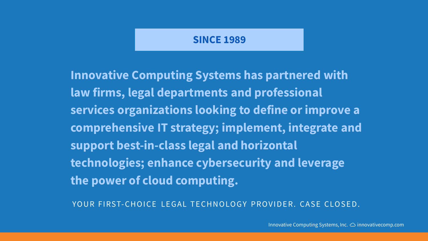## **SINCE 1989**

**Innovative Computing Systems has partnered with law firms, legal departments and professional services organizations looking to define or improve a comprehensive IT strategy; implement, integrate and support best-in-class legal and horizontal technologies; enhance cybersecurity and leverage the power of cloud computing.**

YOUR FIRST-CHOICE LEGAL TECHNOLOGY PROVIDER. CASE CLOSED.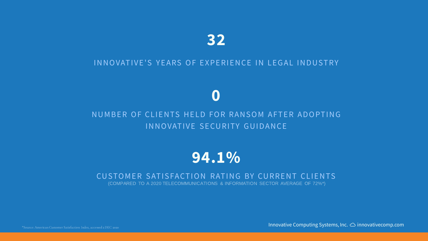Innovative Computing Systems, Inc. ☁️innovativecomp.com

## **0**

## NUMBER OF CLIENTS HELD FOR RANSOM AFTER ADOPTING IN NOVATIVE SECURITY GUIDANCE

## **94.1%**

## CUSTOMER SATISFACTION RATING BY CURRENT CLIENTS (COMPARED TO A 2020 TELECOMMUNICATIONS & INFORMATION SECTOR AVERAGE OF 72%\*)

\*Source: American Customer Satisfaction Index, accessed 2 DEC 2020

## **32**

### IN NOVATIVE'S YEARS OF EXPERIENCE IN LEGAL INDUSTRY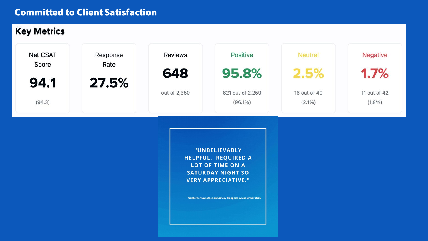## **Committed to Client Satisfaction**



"UNBELIEVABLY HELPFUL. REQUIRED A **LOT OF TIME ON A** SATURDAY NIGHT SO **VERY APPRECIATIVE."** 

- Customer Satisfaction Survey Response, December 2020



### **Negative**

 $1.7%$ 

11 out of 42  $(1.8\%)$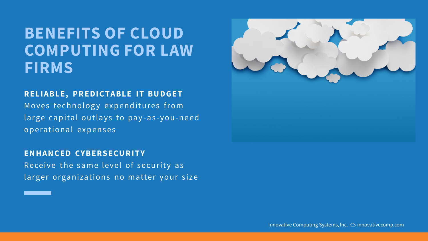# **BENEFITS OF CLOUD COMPUTING FOR LAW FIRMS**

**RELIABLE, PREDICTABLE IT BUDGET** Moves technology expenditures from large capital outlays to pay-as-you-need operational expenses

**EN H A N C ED CYBERS ECU R I T Y** Receive the same level of security as larger organizations no matter your size

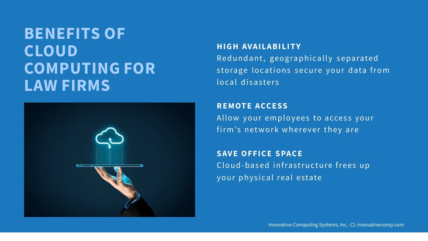# **BENEFITS OF CLOUD COMPUTING FOR LAW FIRMS**



**HIGH AVAILABILITY** Red und ant, geographically separated storage locations secure your data from local disasters

**R E M OT E A CC E SS** Allow your employees to access your firm's network wherever they are

**SAVE OFFICE SPACE** Cloud-based infrastructure frees up your physical real estate

I N N O VAT I V E CO M P U T I N G SYST E M S , I N C . ☁️ I N N O VAT I V E CO M P. CO M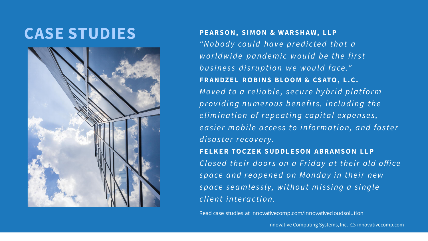I N N O VAT I V E CO M P U T I N G SYST E M S , I N C . ☁️ I N N O VAT I V E CO M P. CO M

Innovative Computing Systems, Inc. ☁️innovativecomp.com

# **CASE STUDIES**



**P E A R S O N , S I M O N & W A R S H A W, L L P** "N o b o d y could have predicted that a w orld wide pandemic would be the first business disruption we would face." FRANDZEL ROBINS BLOOM & CSATO, L.C. Moved to a reliable, secure hybrid platform providing numerous benefits, including the elimination of repeating capital expenses, *easier mobile access to information, and faster* d *is a ster recovery.* **F E L K E R TO C Z E K S U D D L E S O N A B R A M S O N L L P** *Closed their doors on a Friday at their old office* space and reopened on Monday in their new *space seamlessly, without missing a single client interaction.* 

Read case studies at innovativecomp.com/innovativecloudsolution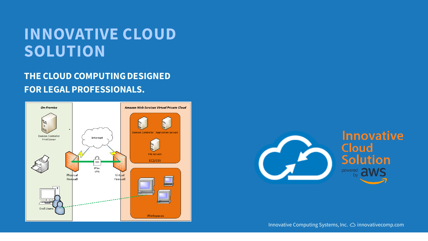# **INNOVATIVE CLOUD SOLUTION**

## **THE CLOUD COMPUTING DESIGNED FOR LEGAL PROFESSIONALS.**





## **Innovative Cloud Solution** powered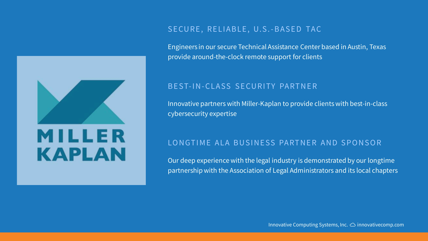

### SECURE, RELIABLE, U.S.-BASED TAC

Engineers in our secure Technical Assistance Center based in Austin, Texas provide around-the-clock remote support for clients

### BEST-IN-CLASS SECURITY PARTNER

Innovative partners with Miller-Kaplan to provide clients with best-in-class cybersecurity expertise

### LONGTIME ALA BUSINESS PARTNER AND SPONSOR

Our deep experience with the legal industry is demonstrated by our longtime partnership with the Association of Legal Administrators and its local chapters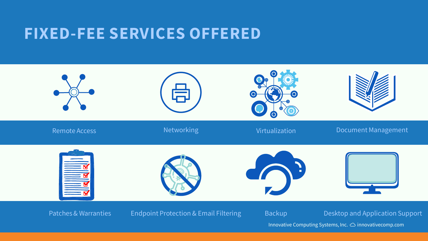Innovative Computing Systems, Inc. ☁️innovativecomp.com

# **FIXED-FEE SERVICES OFFERED**





### Document Management



## Patches & Warranties Findpoint Protection & Email Filtering Filtering Backup Desktop and Application Support